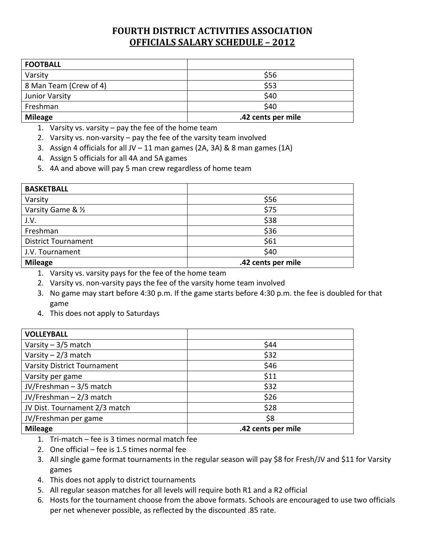## **FOURTH DISTRICT ACTIVITIES ASSOCIATION OFFICIALS SALARY SCHEDULE – 2012**

| <b>FOOTBALL</b>        |                    |
|------------------------|--------------------|
| Varsity                | \$56               |
| 8 Man Team (Crew of 4) | \$53               |
| Junior Varsity         | \$40               |
| Freshman               | \$40               |
| <b>Mileage</b>         | .42 cents per mile |

- 1. Varsity vs. varsity pay the fee of the home team
- 2. Varsity vs. non-varsity pay the fee of the varsity team involved
- 3. Assign 4 officials for all JV 11 man games (2A, 3A) & 8 man games (1A)
- 4. Assign 5 officials for all 4A and 5A games
- 5. 4A and above will pay 5 man crew regardless of home team

| <b>BASKETBALL</b>          |                    |
|----------------------------|--------------------|
| Varsity                    | \$56               |
| Varsity Game & 1/2         | \$75               |
| J.V.                       | \$38               |
| Freshman                   | \$36               |
| <b>District Tournament</b> | \$61               |
| J.V. Tournament            | \$40               |
| <b>Mileage</b>             | .42 cents per mile |

- 1. Varsity vs. varsity pays for the fee of the home team
- 2. Varsity vs. non‐varsity pays the fee of the varsity home team involved
- 3. No game may start before 4:30 p.m. If the game starts before 4:30 p.m. the fee is doubled for that game
- 4. This does not apply to Saturdays

| <b>VOLLEYBALL</b>                  |                    |
|------------------------------------|--------------------|
| Varsity $-3/5$ match               | \$44               |
| Varsity $-2/3$ match               | \$32               |
| <b>Varsity District Tournament</b> | \$46               |
| Varsity per game                   | \$11               |
| JV/Freshman-3/5 match              | \$32               |
| JV/Freshman - 2/3 match            | \$26               |
| JV Dist. Tournament 2/3 match      | \$28               |
| JV/Freshman per game               | \$8                |
| <b>Mileage</b>                     | .42 cents per mile |

- 1. Tri‐match fee is 3 times normal match fee
- 2. One official fee is 1.5 times normal fee
- 3. All single game format tournaments in the regular season will pay \$8 for Fresh/JV and \$11 for Varsity games
- 4. This does not apply to district tournaments
- 5. All regular season matches for all levels will require both R1 and a R2 official
- 6. Hosts for the tournament choose from the above formats. Schools are encouraged to use two officials per net whenever possible, as reflected by the discounted .85 rate.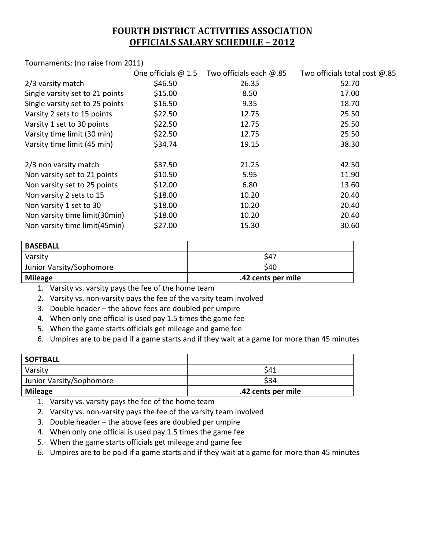## **FOURTH DISTRICT ACTIVITIES ASSOCIATION OFFICIALS SALARY SCHEDULE – 2012**

Tournaments: (no raise from 2011)

|                                 | One officials $@1.5$ | Two officials each @.85 | Two officials total cost @.85 |
|---------------------------------|----------------------|-------------------------|-------------------------------|
| 2/3 varsity match               | \$46.50              | 26.35                   | 52.70                         |
| Single varsity set to 21 points | \$15.00              | 8.50                    | 17.00                         |
| Single varsity set to 25 points | \$16.50              | 9.35                    | 18.70                         |
| Varsity 2 sets to 15 points     | \$22.50              | 12.75                   | 25.50                         |
| Varsity 1 set to 30 points      | \$22.50              | 12.75                   | 25.50                         |
| Varsity time limit (30 min)     | \$22.50              | 12.75                   | 25.50                         |
| Varsity time limit (45 min)     | \$34.74              | 19.15                   | 38.30                         |
| 2/3 non varsity match           | \$37.50              | 21.25                   | 42.50                         |
| Non varsity set to 21 points    | \$10.50              | 5.95                    | 11.90                         |
| Non varsity set to 25 points    | \$12.00              | 6.80                    | 13.60                         |
| Non varsity 2 sets to 15        | \$18.00              | 10.20                   | 20.40                         |
| Non varsity 1 set to 30         | \$18.00              | 10.20                   | 20.40                         |
| Non varsity time limit(30min)   | \$18.00              | 10.20                   | 20.40                         |
| Non varsity time limit(45min)   | \$27.00              | 15.30                   | 30.60                         |
|                                 |                      |                         |                               |

| <b>BASEBALL</b>          |                    |
|--------------------------|--------------------|
| Varsity                  | \$47               |
| Junior Varsity/Sophomore | \$40               |
| <b>Mileage</b>           | .42 cents per mile |

1. Varsity vs. varsity pays the fee of the home team

2. Varsity vs. non-varsity pays the fee of the varsity team involved

3. Double header – the above fees are doubled per umpire

4. When only one official is used pay 1.5 times the game fee

5. When the game starts officials get mileage and game fee

6. Umpires are to be paid if a game starts and if they wait at a game for more than 45 minutes

| <b>SOFTBALL</b>          |                    |
|--------------------------|--------------------|
| Varsity                  | \$41               |
| Junior Varsity/Sophomore | \$34               |
| <b>Mileage</b>           | .42 cents per mile |

1. Varsity vs. varsity pays the fee of the home team

2. Varsity vs. non-varsity pays the fee of the varsity team involved

3. Double header – the above fees are doubled per umpire

4. When only one official is used pay 1.5 times the game fee

5. When the game starts officials get mileage and game fee

6. Umpires are to be paid if a game starts and if they wait at a game for more than 45 minutes